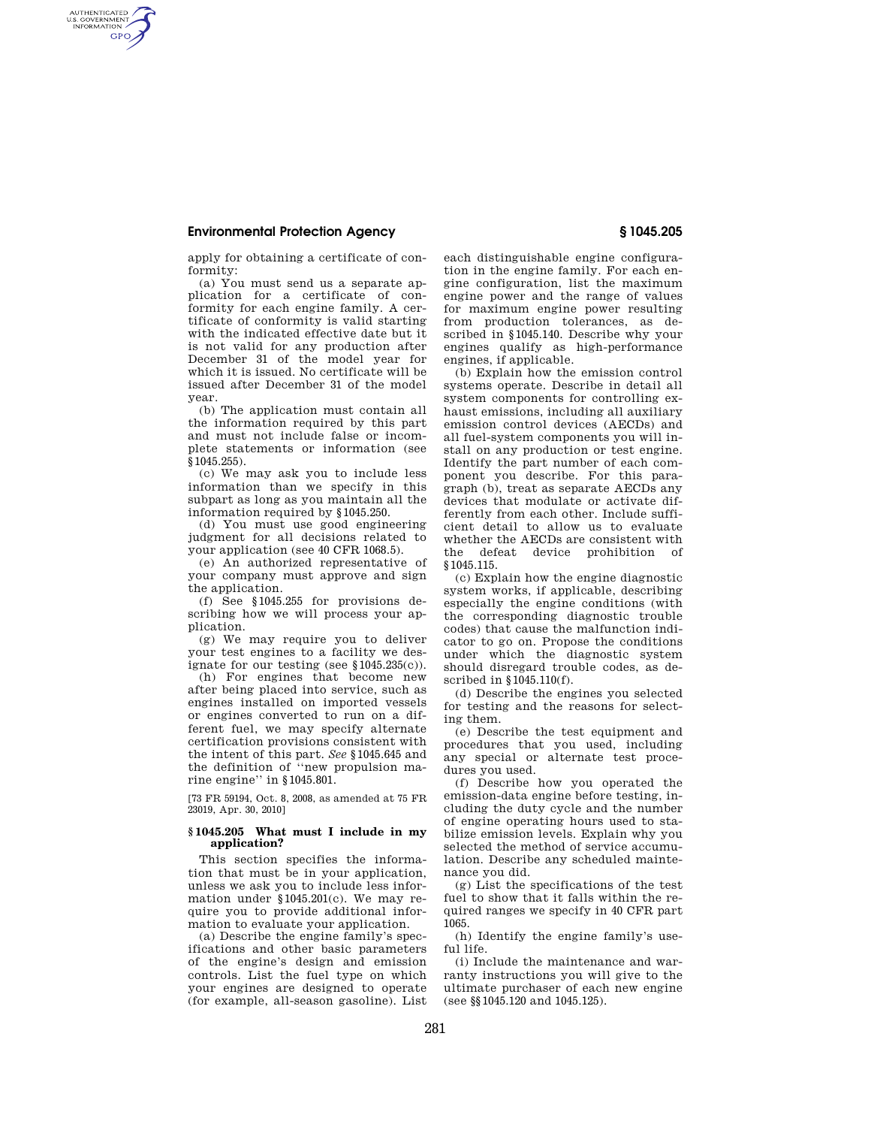# **Environmental Protection Agency § 1045.205**

AUTHENTICATED<br>U.S. GOVERNMENT<br>INFORMATION **GPO** 

apply for obtaining a certificate of conformity:

(a) You must send us a separate application for a certificate of conformity for each engine family. A certificate of conformity is valid starting with the indicated effective date but it is not valid for any production after December 31 of the model year for which it is issued. No certificate will be issued after December 31 of the model year.

(b) The application must contain all the information required by this part and must not include false or incomplete statements or information (see §1045.255).

(c) We may ask you to include less information than we specify in this subpart as long as you maintain all the information required by §1045.250.

(d) You must use good engineering judgment for all decisions related to your application (see 40 CFR 1068.5).

(e) An authorized representative of your company must approve and sign the application.

(f) See §1045.255 for provisions describing how we will process your application.

(g) We may require you to deliver your test engines to a facility we designate for our testing (see  $$1045.235(c)$ ).

(h) For engines that become new after being placed into service, such as engines installed on imported vessels or engines converted to run on a different fuel, we may specify alternate certification provisions consistent with the intent of this part. *See* §1045.645 and the definition of ''new propulsion marine engine'' in §1045.801.

[73 FR 59194, Oct. 8, 2008, as amended at 75 FR 23019, Apr. 30, 2010]

## **§ 1045.205 What must I include in my application?**

This section specifies the information that must be in your application, unless we ask you to include less information under §1045.201(c). We may require you to provide additional information to evaluate your application.

(a) Describe the engine family's specifications and other basic parameters of the engine's design and emission controls. List the fuel type on which your engines are designed to operate (for example, all-season gasoline). List

each distinguishable engine configuration in the engine family. For each engine configuration, list the maximum engine power and the range of values for maximum engine power resulting from production tolerances, as described in §1045.140. Describe why your engines qualify as high-performance engines, if applicable.

(b) Explain how the emission control systems operate. Describe in detail all system components for controlling exhaust emissions, including all auxiliary emission control devices (AECDs) and all fuel-system components you will install on any production or test engine. Identify the part number of each component you describe. For this paragraph (b), treat as separate AECDs any devices that modulate or activate differently from each other. Include sufficient detail to allow us to evaluate whether the AECDs are consistent with the defeat device prohibition of §1045.115.

(c) Explain how the engine diagnostic system works, if applicable, describing especially the engine conditions (with the corresponding diagnostic trouble codes) that cause the malfunction indicator to go on. Propose the conditions under which the diagnostic system should disregard trouble codes, as described in §1045.110(f).

(d) Describe the engines you selected for testing and the reasons for selecting them.

(e) Describe the test equipment and procedures that you used, including any special or alternate test procedures you used.

(f) Describe how you operated the emission-data engine before testing, including the duty cycle and the number of engine operating hours used to stabilize emission levels. Explain why you selected the method of service accumulation. Describe any scheduled maintenance you did.

(g) List the specifications of the test fuel to show that it falls within the required ranges we specify in 40 CFR part 1065.

(h) Identify the engine family's useful life.

(i) Include the maintenance and warranty instructions you will give to the ultimate purchaser of each new engine (see §§1045.120 and 1045.125).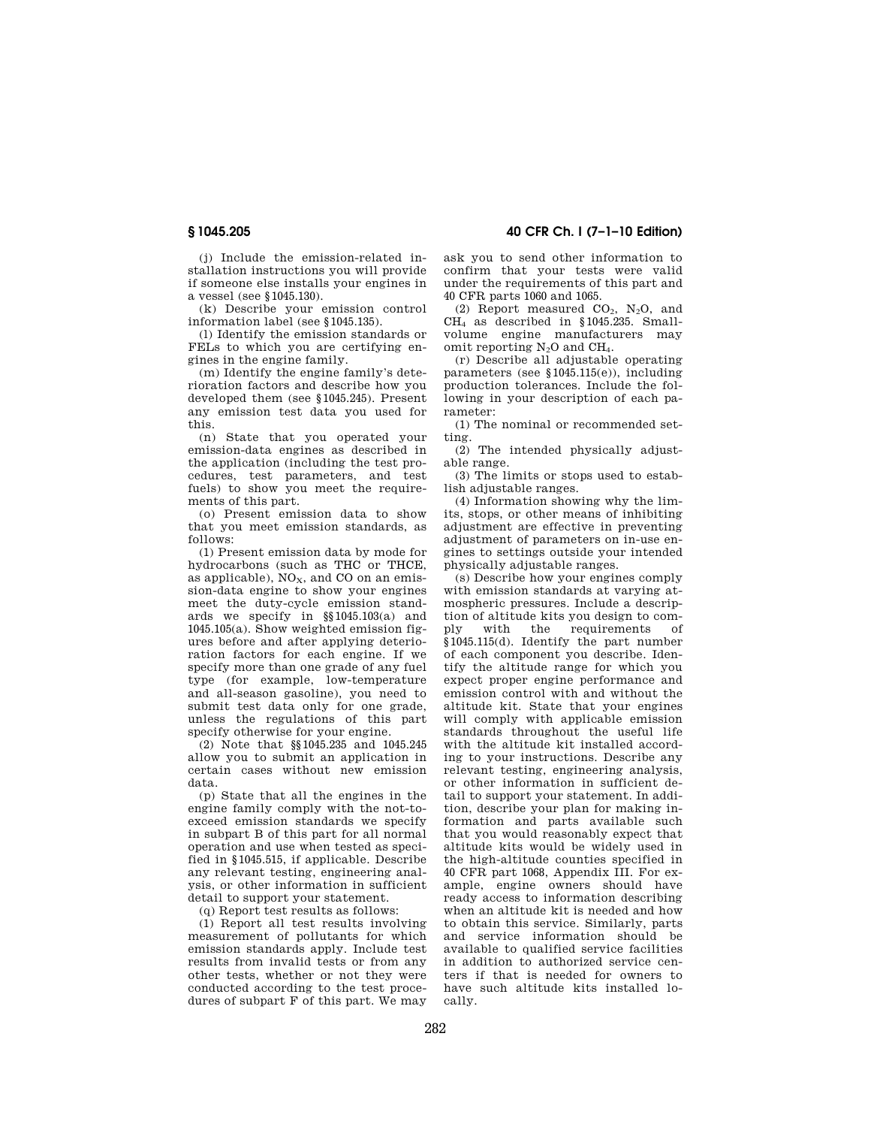(j) Include the emission-related installation instructions you will provide if someone else installs your engines in a vessel (see §1045.130).

(k) Describe your emission control information label (see §1045.135).

(l) Identify the emission standards or FELs to which you are certifying engines in the engine family.

(m) Identify the engine family's deterioration factors and describe how you developed them (see §1045.245). Present any emission test data you used for this.

(n) State that you operated your emission-data engines as described in the application (including the test procedures, test parameters, and test fuels) to show you meet the requirements of this part.

(o) Present emission data to show that you meet emission standards, as follows:

(1) Present emission data by mode for hydrocarbons (such as THC or THCE, as applicable),  $NO<sub>x</sub>$ , and CO on an emission-data engine to show your engines meet the duty-cycle emission standards we specify in §§1045.103(a) and 1045.105(a). Show weighted emission figures before and after applying deterioration factors for each engine. If we specify more than one grade of any fuel type (for example, low-temperature and all-season gasoline), you need to submit test data only for one grade, unless the regulations of this part specify otherwise for your engine.

(2) Note that §§1045.235 and 1045.245 allow you to submit an application in certain cases without new emission data.

(p) State that all the engines in the engine family comply with the not-toexceed emission standards we specify in subpart B of this part for all normal operation and use when tested as specified in §1045.515, if applicable. Describe any relevant testing, engineering analysis, or other information in sufficient detail to support your statement.

(q) Report test results as follows:

(1) Report all test results involving measurement of pollutants for which emission standards apply. Include test results from invalid tests or from any other tests, whether or not they were conducted according to the test procedures of subpart F of this part. We may

**§ 1045.205 40 CFR Ch. I (7–1–10 Edition)** 

ask you to send other information to confirm that your tests were valid under the requirements of this part and 40 CFR parts 1060 and 1065.

(2) Report measured  $CO<sub>2</sub>$ , N<sub>2</sub>O, and CH<sup>4</sup> as described in §1045.235. Smallvolume engine manufacturers may omit reporting  $N_2O$  and  $CH_4$ .

(r) Describe all adjustable operating parameters (see §1045.115(e)), including production tolerances. Include the following in your description of each parameter:

(1) The nominal or recommended setting.

(2) The intended physically adjustable range.

(3) The limits or stops used to establish adjustable ranges.

(4) Information showing why the limits, stops, or other means of inhibiting adjustment are effective in preventing adjustment of parameters on in-use engines to settings outside your intended physically adjustable ranges.

(s) Describe how your engines comply with emission standards at varying atmospheric pressures. Include a description of altitude kits you design to comply with the requirements of §1045.115(d). Identify the part number of each component you describe. Identify the altitude range for which you expect proper engine performance and emission control with and without the altitude kit. State that your engines will comply with applicable emission standards throughout the useful life with the altitude kit installed according to your instructions. Describe any relevant testing, engineering analysis, or other information in sufficient detail to support your statement. In addition, describe your plan for making information and parts available such that you would reasonably expect that altitude kits would be widely used in the high-altitude counties specified in 40 CFR part 1068, Appendix III. For example, engine owners should have ready access to information describing when an altitude kit is needed and how to obtain this service. Similarly, parts and service information should be available to qualified service facilities in addition to authorized service centers if that is needed for owners to have such altitude kits installed locally.